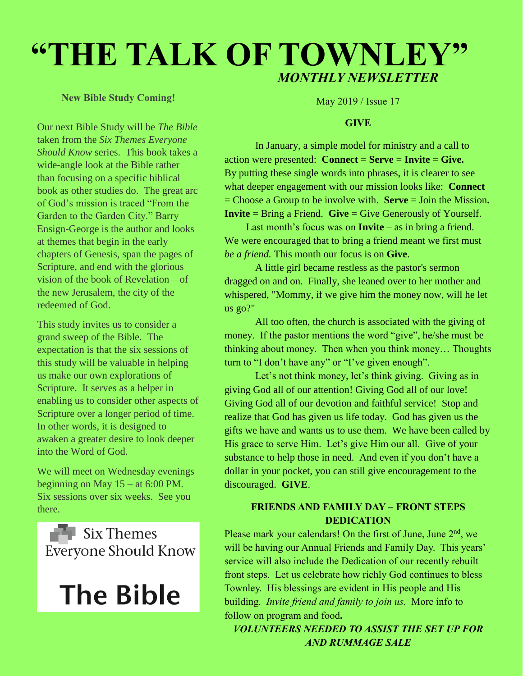# **"THE TALK OF TOWNLEY"** *MONTHLY NEWSLETTER*

### **New Bible Study Coming!**

Our next Bible Study will be *The Bible* taken from the *Six Themes Everyone Should Know* series. This book takes a wide-angle look at the Bible rather than focusing on a specific biblical book as other studies do. The great arc of God's mission is traced "From the Garden to the Garden City." Barry Ensign-George is the author and looks at themes that begin in the early chapters of Genesis, span the pages of Scripture, and end with the glorious vision of the book of Revelation—of the new Jerusalem, the city of the redeemed of God.

This study invites us to consider a grand sweep of the Bible. The expectation is that the six sessions of this study will be valuable in helping us make our own explorations of Scripture. It serves as a helper in enabling us to consider other aspects of Scripture over a longer period of time. In other words, it is designed to awaken a greater desire to look deeper into the Word of God.

We will meet on Wednesday evenings beginning on May 15 – at 6:00 PM. Six sessions over six weeks. See you there.

 $\blacksquare$  Six Themes **Everyone Should Know** 



May 2019 / Issue 17

#### **GIVE**

In January, a simple model for ministry and a call to action were presented: **Connect** = **Serve** = **Invite** = **Give.**  By putting these single words into phrases, it is clearer to see what deeper engagement with our mission looks like: **Connect**  = Choose a Group to be involve with. **Serve** = Join the Mission**. Invite** = Bring a Friend. **Give** = Give Generously of Yourself.

Last month's focus was on **Invite** – as in bring a friend. We were encouraged that to bring a friend meant we first must *be a friend.* This month our focus is on **Give**.

A little girl became restless as the pastor's sermon dragged on and on. Finally, she leaned over to her mother and whispered, "Mommy, if we give him the money now, will he let us go?"

All too often, the church is associated with the giving of money. If the pastor mentions the word "give", he/she must be thinking about money. Then when you think money… Thoughts turn to "I don't have any" or "I've given enough".

Let's not think money, let's think giving. Giving as in giving God all of our attention! Giving God all of our love! Giving God all of our devotion and faithful service! Stop and realize that God has given us life today. God has given us the gifts we have and wants us to use them. We have been called by His grace to serve Him. Let's give Him our all. Give of your substance to help those in need. And even if you don't have a dollar in your pocket, you can still give encouragement to the discouraged. **GIVE**.

## **FRIENDS AND FAMILY DAY – FRONT STEPS DEDICATION**

Please mark your calendars! On the first of June, June 2<sup>nd</sup>, we will be having our Annual Friends and Family Day. This years' service will also include the Dedication of our recently rebuilt front steps. Let us celebrate how richly God continues to bless Townley. His blessings are evident in His people and His building. *Invite friend and family to join us.* More info to follow on program and food**.**

*VOLUNTEERS NEEDED TO ASSIST THE SET UP FOR AND RUMMAGE SALE*